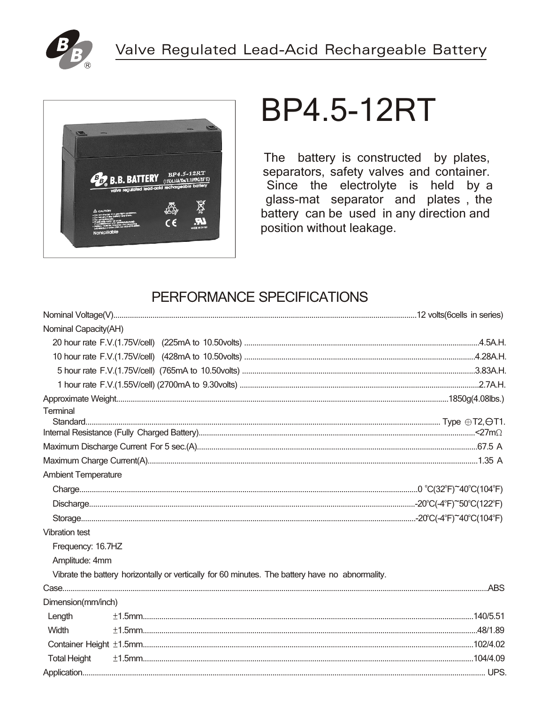



# **BP4.5-12RT**

The battery is constructed by plates, separators, safety valves and container. Since the electrolyte is held by a glass-mat separator and plates, the battery can be used in any direction and position without leakage.

## PERFORMANCE SPECIFICATIONS

| Nominal Capacity(AH)       |                                                                                                 |  |  |  |  |  |  |
|----------------------------|-------------------------------------------------------------------------------------------------|--|--|--|--|--|--|
|                            |                                                                                                 |  |  |  |  |  |  |
|                            |                                                                                                 |  |  |  |  |  |  |
|                            |                                                                                                 |  |  |  |  |  |  |
|                            |                                                                                                 |  |  |  |  |  |  |
| Terminal                   |                                                                                                 |  |  |  |  |  |  |
|                            |                                                                                                 |  |  |  |  |  |  |
|                            |                                                                                                 |  |  |  |  |  |  |
|                            |                                                                                                 |  |  |  |  |  |  |
|                            |                                                                                                 |  |  |  |  |  |  |
| <b>Ambient Temperature</b> |                                                                                                 |  |  |  |  |  |  |
|                            |                                                                                                 |  |  |  |  |  |  |
|                            |                                                                                                 |  |  |  |  |  |  |
|                            |                                                                                                 |  |  |  |  |  |  |
| <b>Vibration test</b>      |                                                                                                 |  |  |  |  |  |  |
| Frequency: 16.7HZ          |                                                                                                 |  |  |  |  |  |  |
| Amplitude: 4mm             |                                                                                                 |  |  |  |  |  |  |
|                            | Vibrate the battery horizontally or vertically for 60 minutes. The battery have no abnormality. |  |  |  |  |  |  |
|                            |                                                                                                 |  |  |  |  |  |  |
| Dimension(mm/inch)         |                                                                                                 |  |  |  |  |  |  |
| Length                     |                                                                                                 |  |  |  |  |  |  |
| Width                      |                                                                                                 |  |  |  |  |  |  |
|                            |                                                                                                 |  |  |  |  |  |  |
| <b>Total Height</b>        |                                                                                                 |  |  |  |  |  |  |
|                            |                                                                                                 |  |  |  |  |  |  |
|                            |                                                                                                 |  |  |  |  |  |  |